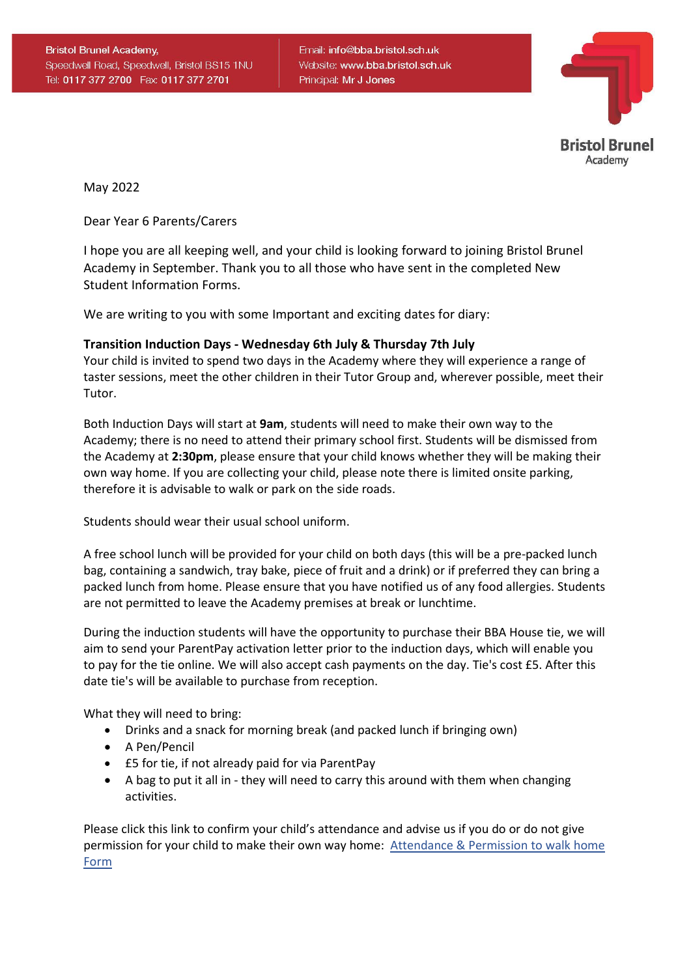Email: info@bba.bristol.sch.uk Website: www.bba.bristol.sch.uk Principal: Mr J Jones



May 2022

Dear Year 6 Parents/Carers

I hope you are all keeping well, and your child is looking forward to joining Bristol Brunel Academy in September. Thank you to all those who have sent in the completed New Student Information Forms.

We are writing to you with some Important and exciting dates for diary:

#### **Transition Induction Days - Wednesday 6th July & Thursday 7th July**

Your child is invited to spend two days in the Academy where they will experience a range of taster sessions, meet the other children in their Tutor Group and, wherever possible, meet their Tutor.

Both Induction Days will start at **9am**, students will need to make their own way to the Academy; there is no need to attend their primary school first. Students will be dismissed from the Academy at **2:30pm**, please ensure that your child knows whether they will be making their own way home. If you are collecting your child, please note there is limited onsite parking, therefore it is advisable to walk or park on the side roads.

Students should wear their usual school uniform.

A free school lunch will be provided for your child on both days (this will be a pre-packed lunch bag, containing a sandwich, tray bake, piece of fruit and a drink) or if preferred they can bring a packed lunch from home. Please ensure that you have notified us of any food allergies. Students are not permitted to leave the Academy premises at break or lunchtime.

During the induction students will have the opportunity to purchase their BBA House tie, we will aim to send your ParentPay activation letter prior to the induction days, which will enable you to pay for the tie online. We will also accept cash payments on the day. Tie's cost £5. After this date tie's will be available to purchase from reception.

What they will need to bring:

- Drinks and a snack for morning break (and packed lunch if bringing own)
- A Pen/Pencil
- £5 for tie, if not already paid for via ParentPay
- A bag to put it all in they will need to carry this around with them when changing activities.

Please click this link to confirm your child's attendance and advise us if you do or do not give permission for your child to make their own way home: [Attendance](https://forms.office.com/Pages/ResponsePage.aspx?id=ViObpySMIkm0IMbibQtAkXbJQyVMdFZEuGzCBGwm8zFUNTg1TkhZRU9KU1FPOThVMkc3VFQ3N1dCTy4u) & Permission to walk home [Form](https://forms.office.com/Pages/ResponsePage.aspx?id=ViObpySMIkm0IMbibQtAkXbJQyVMdFZEuGzCBGwm8zFUNTg1TkhZRU9KU1FPOThVMkc3VFQ3N1dCTy4u)